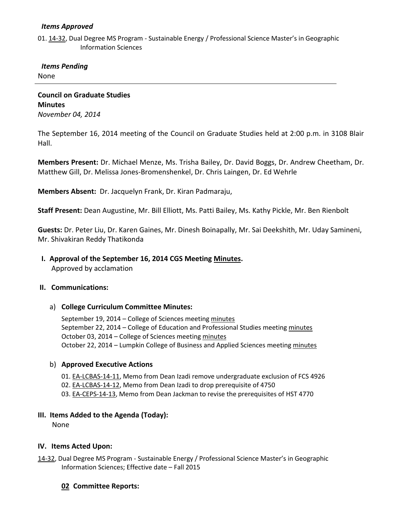### *Items Approved*

01. [14-32,](http://castle.eiu.edu/~eiucgs/currentagendaitems/agenda14-32.pdf) Dual Degree MS Program - Sustainable Energy / Professional Science Master's in Geographic Information Sciences

 *Items Pending*

None

**Council on Graduate Studies Minutes** *November 04, 2014*

The September 16, 2014 meeting of the Council on Graduate Studies held at 2:00 p.m. in 3108 Blair Hall.

**Members Present:** Dr. Michael Menze, Ms. Trisha Bailey, Dr. David Boggs, Dr. Andrew Cheetham, Dr. Matthew Gill, Dr. Melissa Jones-Bromenshenkel, Dr. Chris Laingen, Dr. Ed Wehrle

**Members Absent:** Dr. Jacquelyn Frank, Dr. Kiran Padmaraju,

**Staff Present:** Dean Augustine, Mr. Bill Elliott, Ms. Patti Bailey, Ms. Kathy Pickle, Mr. Ben Rienbolt

**Guests:** Dr. Peter Liu, Dr. Karen Gaines, Mr. Dinesh Boinapally, Mr. Sai Deekshith, Mr. Uday Samineni, Mr. Shivakiran Reddy Thatikonda

 **I. Approval of the September 16, 2014 CGS Meeting [Minutes.](http://castle.eiu.edu/eiucgs/currentminutes/Minutes09-16-14.pdf)**

Approved by acclamation

#### **II. Communications:**

#### a) **College Curriculum Committee Minutes:**

September 19, 2014 – College of Sciences meetin[g minutes](http://castle.eiu.edu/~eiucgs/currentagendaitems/COSMin09-19-14.pdf) September 22, 2014 – College of Education and Professional Studies meetin[g minutes](http://castle.eiu.edu/~eiucgs/currentagendaitems/CEPSMin09-22-14.pdf) October 03, 2014 – College of Sciences meetin[g minutes](http://castle.eiu.edu/~eiucgs/currentagendaitems/COSMin10-03-14.pdf) October 22, 2014 – Lumpkin College of Business and Applied Sciences meeting [minutes](http://castle.eiu.edu/~eiucgs/currentagendaitems/LCBASMin10-22-14.pdf)

#### b) **Approved Executive Actions**

- 01. [EA-LCBAS-14-11,](http://castle.eiu.edu/~eiucgs/exec-actions/EA-LCBAS-14-11.pdf) Memo from Dean Izadi remove undergraduate exclusion of FCS 4926
- 02. [EA-LCBAS-14-12,](http://castle.eiu.edu/~eiucgs/exec-actions/EA-LCBAS-14-12.pdf) Memo from Dean Izadi to drop prerequisite of 4750
- 03. [EA-CEPS-14-13,](http://castle.eiu.edu/~eiucgs/exec-actions/EA-CEPS-14-13.pdf) Memo from Dean Jackman to revise the prerequisites of HST 4770

## **III. Items Added to the Agenda (Today):**

None

## **IV. Items Acted Upon:**

- [14-32,](http://castle.eiu.edu/~eiucgs/currentagendaitems/agenda14-32.pdf) Dual Degree MS Program Sustainable Energy / Professional Science Master's in Geographic Information Sciences; Effective date – Fall 2015
	- **02 Committee Reports:**